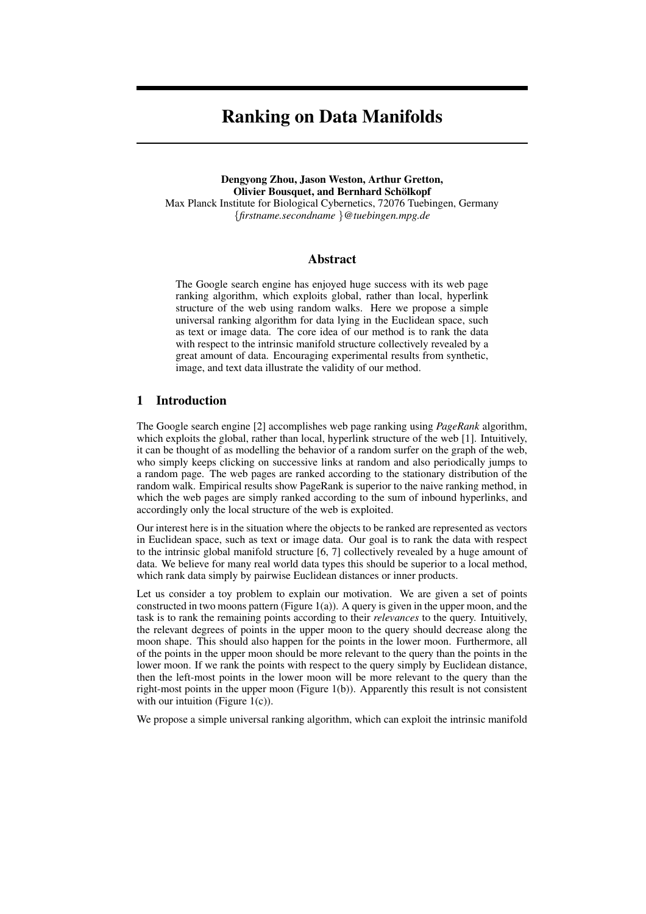# **Ranking on Data Manifolds**

**Dengyong Zhou, Jason Weston, Arthur Gretton, Olivier Bousquet, and Bernhard Schölkopf** Max Planck Institute for Biological Cybernetics, 72076 Tuebingen, Germany {*firstname.secondname* }*@tuebingen.mpg.de*

# **Abstract**

The Google search engine has enjoyed huge success with its web page ranking algorithm, which exploits global, rather than local, hyperlink structure of the web using random walks. Here we propose a simple universal ranking algorithm for data lying in the Euclidean space, such as text or image data. The core idea of our method is to rank the data with respect to the intrinsic manifold structure collectively revealed by a great amount of data. Encouraging experimental results from synthetic, image, and text data illustrate the validity of our method.

## **1 Introduction**

The Google search engine [2] accomplishes web page ranking using *PageRank* algorithm, which exploits the global, rather than local, hyperlink structure of the web [1]. Intuitively, it can be thought of as modelling the behavior of a random surfer on the graph of the web, who simply keeps clicking on successive links at random and also periodically jumps to a random page. The web pages are ranked according to the stationary distribution of the random walk. Empirical results show PageRank is superior to the naive ranking method, in which the web pages are simply ranked according to the sum of inbound hyperlinks, and accordingly only the local structure of the web is exploited.

Our interest here is in the situation where the objects to be ranked are represented as vectors in Euclidean space, such as text or image data. Our goal is to rank the data with respect to the intrinsic global manifold structure [6, 7] collectively revealed by a huge amount of data. We believe for many real world data types this should be superior to a local method, which rank data simply by pairwise Euclidean distances or inner products.

Let us consider a toy problem to explain our motivation. We are given a set of points constructed in two moons pattern (Figure 1(a)). A query is given in the upper moon, and the task is to rank the remaining points according to their *relevances* to the query. Intuitively, the relevant degrees of points in the upper moon to the query should decrease along the moon shape. This should also happen for the points in the lower moon. Furthermore, all of the points in the upper moon should be more relevant to the query than the points in the lower moon. If we rank the points with respect to the query simply by Euclidean distance, then the left-most points in the lower moon will be more relevant to the query than the right-most points in the upper moon (Figure 1(b)). Apparently this result is not consistent with our intuition (Figure  $1(c)$ ).

We propose a simple universal ranking algorithm, which can exploit the intrinsic manifold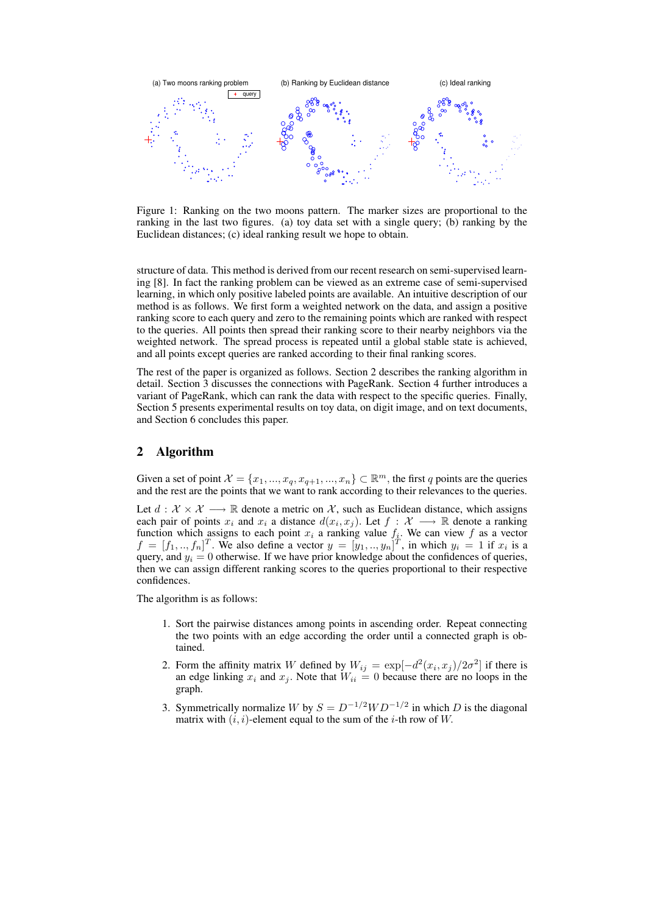

Figure 1: Ranking on the two moons pattern. The marker sizes are proportional to the ranking in the last two figures. (a) toy data set with a single query; (b) ranking by the Euclidean distances; (c) ideal ranking result we hope to obtain.

structure of data. This method is derived from our recent research on semi-supervised learning [8]. In fact the ranking problem can be viewed as an extreme case of semi-supervised learning, in which only positive labeled points are available. An intuitive description of our method is as follows. We first form a weighted network on the data, and assign a positive ranking score to each query and zero to the remaining points which are ranked with respect to the queries. All points then spread their ranking score to their nearby neighbors via the weighted network. The spread process is repeated until a global stable state is achieved, and all points except queries are ranked according to their final ranking scores.

The rest of the paper is organized as follows. Section 2 describes the ranking algorithm in detail. Section 3 discusses the connections with PageRank. Section 4 further introduces a variant of PageRank, which can rank the data with respect to the specific queries. Finally, Section 5 presents experimental results on toy data, on digit image, and on text documents, and Section 6 concludes this paper.

# **2 Algorithm**

Given a set of point  $\mathcal{X} = \{x_1, ..., x_q, x_{q+1}, ..., x_n\} \subset \mathbb{R}^m$ , the first q points are the queries and the rest are the points that we want to rank according to their relevances to the queries.

Let  $d : \mathcal{X} \times \mathcal{X} \longrightarrow \mathbb{R}$  denote a metric on X, such as Euclidean distance, which assigns each pair of points  $x_i$  and  $x_i$  a distance  $d(x_i, x_j)$ . Let  $f : \mathcal{X} \longrightarrow \mathbb{R}$  denote a ranking function which assigns to each point  $x_i$  a ranking value  $f_i$ . We can view f as a vector  $f = [f_1, ..., f_n]^T$ . We also define a vector  $y = [y_1, ..., y_n]^T$ , in which  $y_i = 1$  if  $x_i$  is a query, and  $y_i = 0$  otherwise. If we have prior knowledge about the confidences of queries, then we can assign different ranking scores to the queries proportional to their respective confidences.

The algorithm is as follows:

- 1. Sort the pairwise distances among points in ascending order. Repeat connecting the two points with an edge according the order until a connected graph is obtained.
- 2. Form the affinity matrix W defined by  $W_{ij} = \exp[-d^2(x_i, x_j)/2\sigma^2]$  if there is an edge linking  $x_i$  and  $x_j$ . Note that  $W_{ii} = 0$  because there are no loops in the graph.
- 3. Symmetrically normalize W by  $S = D^{-1/2}WD^{-1/2}$  in which D is the diagonal matrix with  $(i, i)$ -element equal to the sum of the *i*-th row of W.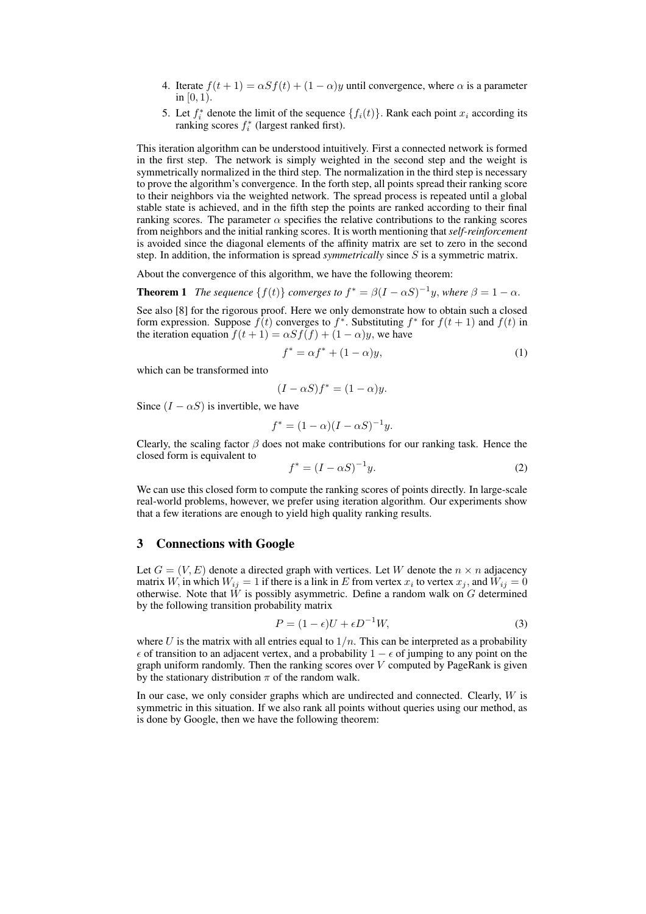- 4. Iterate  $f(t + 1) = \alpha S f(t) + (1 \alpha)y$  until convergence, where  $\alpha$  is a parameter in  $[0, 1)$ .
- 5. Let  $f_i^*$  denote the limit of the sequence  $\{f_i(t)\}\$ . Rank each point  $x_i$  according its ranking scores  $f_i^*$  (largest ranked first).

This iteration algorithm can be understood intuitively. First a connected network is formed in the first step. The network is simply weighted in the second step and the weight is symmetrically normalized in the third step. The normalization in the third step is necessary to prove the algorithm's convergence. In the forth step, all points spread their ranking score to their neighbors via the weighted network. The spread process is repeated until a global stable state is achieved, and in the fifth step the points are ranked according to their final ranking scores. The parameter  $\alpha$  specifies the relative contributions to the ranking scores from neighbors and the initial ranking scores. It is worth mentioning that *self-reinforcement* is avoided since the diagonal elements of the affinity matrix are set to zero in the second step. In addition, the information is spread *symmetrically* since S is a symmetric matrix.

About the convergence of this algorithm, we have the following theorem:

**Theorem 1** *The sequence*  $\{f(t)\}$  *converges to*  $f^* = \beta(I - \alpha S)^{-1}y$ *, where*  $\beta = 1 - \alpha$ *.* 

See also [8] for the rigorous proof. Here we only demonstrate how to obtain such a closed form expression. Suppose  $f(t)$  converges to  $f^*$ . Substituting  $f^*$  for  $f(t + 1)$  and  $f(t)$  in the iteration equation  $f(t + 1) = \alpha S f(f) + (1 - \alpha) y$ , we have

$$
f^* = \alpha f^* + (1 - \alpha)y,\tag{1}
$$

which can be transformed into

$$
(I - \alpha S)f^* = (1 - \alpha)y.
$$

Since  $(I - \alpha S)$  is invertible, we have

$$
f^* = (1 - \alpha)(I - \alpha S)^{-1}y.
$$

Clearly, the scaling factor  $\beta$  does not make contributions for our ranking task. Hence the closed form is equivalent to

$$
f^* = (I - \alpha S)^{-1} y.
$$
\n<sup>(2)</sup>

We can use this closed form to compute the ranking scores of points directly. In large-scale real-world problems, however, we prefer using iteration algorithm. Our experiments show that a few iterations are enough to yield high quality ranking results.

# **3 Connections with Google**

Let  $G = (V, E)$  denote a directed graph with vertices. Let W denote the  $n \times n$  adjacency matrix W, in which  $W_{ij} = 1$  if there is a link in  $E$  from vertex  $x_i$  to vertex  $x_j$ , and  $W_{ij} = 0$ otherwise. Note that  $\tilde{W}$  is possibly asymmetric. Define a random walk on  $G$  determined by the following transition probability matrix

$$
P = (1 - \epsilon)U + \epsilon D^{-1}W,\tag{3}
$$

where U is the matrix with all entries equal to  $1/n$ . This can be interpreted as a probability  $\epsilon$  of transition to an adjacent vertex, and a probability  $1 - \epsilon$  of jumping to any point on the graph uniform randomly. Then the ranking scores over  $V$  computed by PageRank is given by the stationary distribution  $\pi$  of the random walk.

In our case, we only consider graphs which are undirected and connected. Clearly,  $W$  is symmetric in this situation. If we also rank all points without queries using our method, as is done by Google, then we have the following theorem: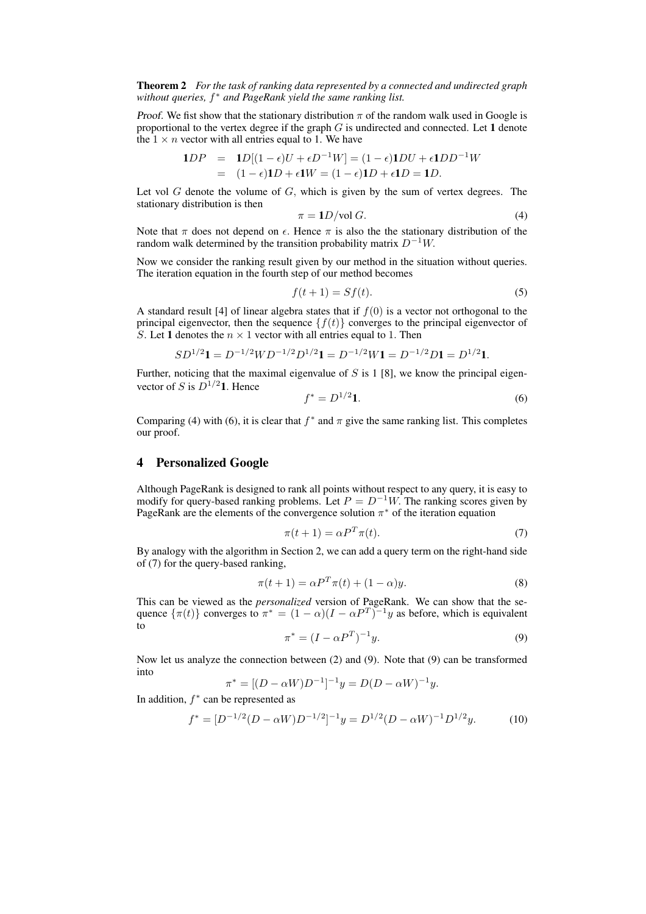**Theorem 2** *For the task of ranking data represented by a connected and undirected graph without queries,* f <sup>∗</sup> *and PageRank yield the same ranking list.*

*Proof.* We fist show that the stationary distribution  $\pi$  of the random walk used in Google is proportional to the vertex degree if the graph G is undirected and connected. Let **1** denote the  $1 \times n$  vector with all entries equal to 1. We have

$$
1DP = 1D[(1-\epsilon)U + \epsilon D^{-1}W] = (1-\epsilon)1DU + \epsilon 1DD^{-1}W
$$
  
= 
$$
(1-\epsilon)1D + \epsilon 1W = (1-\epsilon)1D + \epsilon 1D = 1D.
$$

Let vol  $G$  denote the volume of  $G$ , which is given by the sum of vertex degrees. The stationary distribution is then

$$
\pi = 1D/\text{vol } G. \tag{4}
$$

Note that  $\pi$  does not depend on  $\epsilon$ . Hence  $\pi$  is also the the stationary distribution of the random walk determined by the transition probability matrix  $D^{-1}W$ .

Now we consider the ranking result given by our method in the situation without queries. The iteration equation in the fourth step of our method becomes

$$
f(t+1) = Sf(t). \tag{5}
$$

A standard result [4] of linear algebra states that if  $f(0)$  is a vector not orthogonal to the principal eigenvector, then the sequence  $\{f(t)\}\$ converges to the principal eigenvector of S. Let 1 denotes the  $n \times 1$  vector with all entries equal to 1. Then

$$
SD^{1/2}1 = D^{-1/2}WD^{-1/2}D^{1/2}1 = D^{-1/2}W1 = D^{-1/2}D1 = D^{1/2}1.
$$

Further, noticing that the maximal eigenvalue of  $S$  is 1 [8], we know the principal eigenvector of S is  $D^{1/2}$ **1**. Hence

$$
f^* = D^{1/2} \mathbf{1}.\tag{6}
$$

Comparing (4) with (6), it is clear that  $f^*$  and  $\pi$  give the same ranking list. This completes our proof.

## **4 Personalized Google**

Although PageRank is designed to rank all points without respect to any query, it is easy to modify for query-based ranking problems. Let  $P = D^{-1}W$ . The ranking scores given by PageRank are the elements of the convergence solution  $\pi^*$  of the iteration equation

$$
\pi(t+1) = \alpha P^T \pi(t). \tag{7}
$$

By analogy with the algorithm in Section 2, we can add a query term on the right-hand side of (7) for the query-based ranking,

$$
\pi(t+1) = \alpha P^T \pi(t) + (1-\alpha)y.
$$
\n(8)

This can be viewed as the *personalized* version of PageRank. We can show that the sequence  $\{\pi(t)\}$  converges to  $\pi^* = (1 - \alpha)(I - \alpha P^T)^{-1}y$  as before, which is equivalent to

$$
\pi^* = (I - \alpha P^T)^{-1} y. \tag{9}
$$

Now let us analyze the connection between (2) and (9). Note that (9) can be transformed into

$$
\pi^* = [(D - \alpha W)D^{-1}]^{-1}y = D(D - \alpha W)^{-1}y.
$$

In addition,  $f^*$  can be represented as

$$
f^* = [D^{-1/2}(D - \alpha W)D^{-1/2}]^{-1}y = D^{1/2}(D - \alpha W)^{-1}D^{1/2}y.
$$
 (10)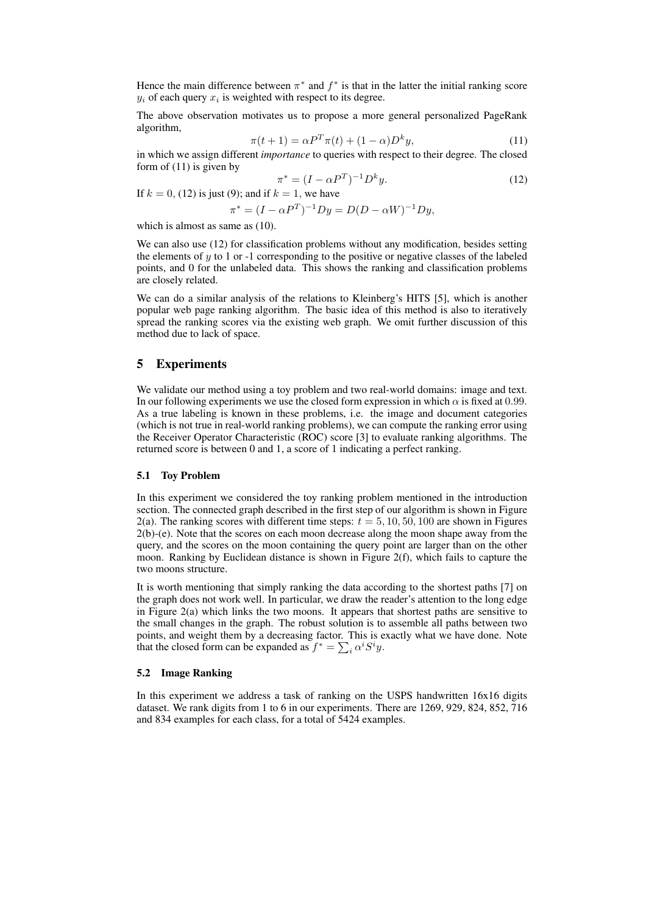Hence the main difference between  $\pi^*$  and  $f^*$  is that in the latter the initial ranking score  $y_i$  of each query  $x_i$  is weighted with respect to its degree.

The above observation motivates us to propose a more general personalized PageRank algorithm,

$$
\pi(t+1) = \alpha P^T \pi(t) + (1-\alpha)D^k y,\tag{11}
$$

in which we assign different *importance* to queries with respect to their degree. The closed form of (11) is given by

$$
\pi^* = (I - \alpha P^T)^{-1} D^k y.
$$
 (12)

If  $k = 0$ , (12) is just (9); and if  $k = 1$ , we have

$$
\pi^* = (I - \alpha P^T)^{-1} D y = D(D - \alpha W)^{-1} D y,
$$

which is almost as same as  $(10)$ .

We can also use (12) for classification problems without any modification, besides setting the elements of  $y$  to 1 or -1 corresponding to the positive or negative classes of the labeled points, and 0 for the unlabeled data. This shows the ranking and classification problems are closely related.

We can do a similar analysis of the relations to Kleinberg's HITS [5], which is another popular web page ranking algorithm. The basic idea of this method is also to iteratively spread the ranking scores via the existing web graph. We omit further discussion of this method due to lack of space.

## **5 Experiments**

We validate our method using a toy problem and two real-world domains: image and text. In our following experiments we use the closed form expression in which  $\alpha$  is fixed at 0.99. As a true labeling is known in these problems, i.e. the image and document categories (which is not true in real-world ranking problems), we can compute the ranking error using the Receiver Operator Characteristic (ROC) score [3] to evaluate ranking algorithms. The returned score is between 0 and 1, a score of 1 indicating a perfect ranking.

### **5.1 Toy Problem**

In this experiment we considered the toy ranking problem mentioned in the introduction section. The connected graph described in the first step of our algorithm is shown in Figure 2(a). The ranking scores with different time steps:  $t = 5, 10, 50, 100$  are shown in Figures 2(b)-(e). Note that the scores on each moon decrease along the moon shape away from the query, and the scores on the moon containing the query point are larger than on the other moon. Ranking by Euclidean distance is shown in Figure 2(f), which fails to capture the two moons structure.

It is worth mentioning that simply ranking the data according to the shortest paths [7] on the graph does not work well. In particular, we draw the reader's attention to the long edge in Figure 2(a) which links the two moons. It appears that shortest paths are sensitive to the small changes in the graph. The robust solution is to assemble all paths between two points, and weight them by a decreasing factor. This is exactly what we have done. Note that the closed form can be expanded as  $f^* = \sum_i \alpha^i S^i y$ .

#### **5.2 Image Ranking**

In this experiment we address a task of ranking on the USPS handwritten 16x16 digits dataset. We rank digits from 1 to 6 in our experiments. There are 1269, 929, 824, 852, 716 and 834 examples for each class, for a total of 5424 examples.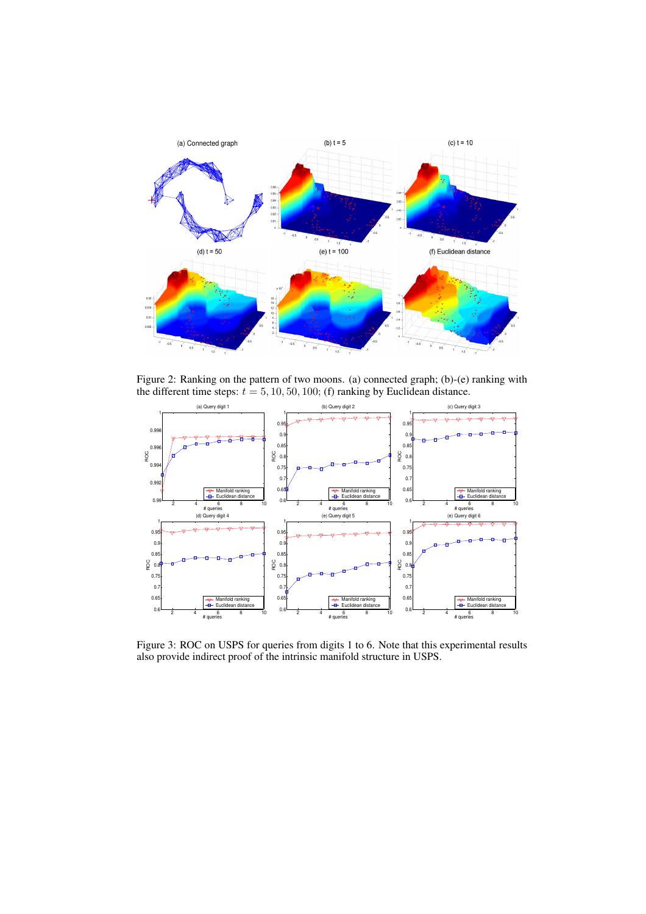

Figure 2: Ranking on the pattern of two moons. (a) connected graph; (b)-(e) ranking with the different time steps:  $t = 5, 10, 50, 100$ ; (f) ranking by Euclidean distance.



Figure 3: ROC on USPS for queries from digits 1 to 6. Note that this experimental results also provide indirect proof of the intrinsic manifold structure in USPS.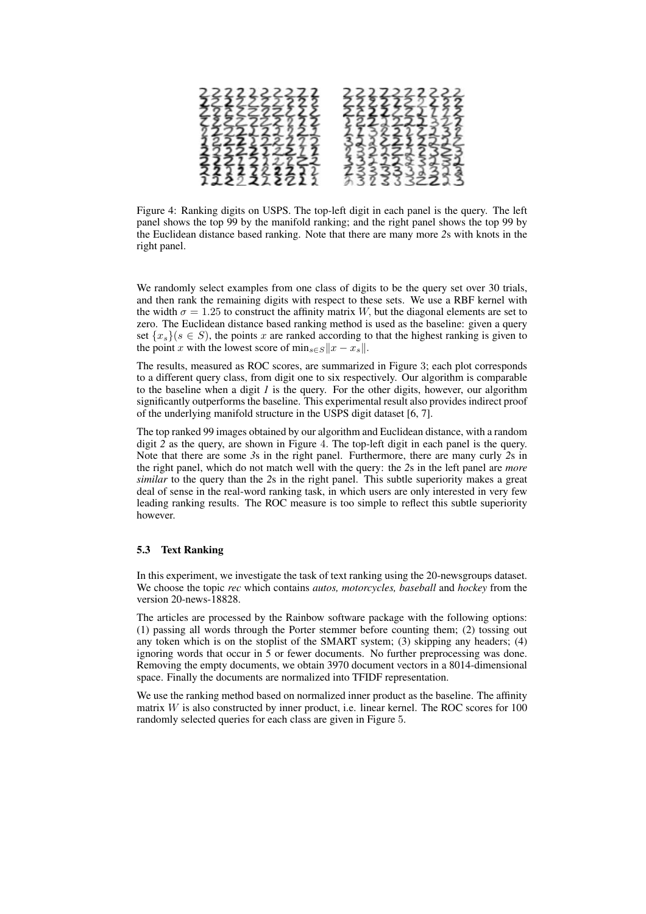

Figure 4: Ranking digits on USPS. The top-left digit in each panel is the query. The left panel shows the top 99 by the manifold ranking; and the right panel shows the top 99 by the Euclidean distance based ranking. Note that there are many more *2*s with knots in the right panel.

We randomly select examples from one class of digits to be the query set over 30 trials, and then rank the remaining digits with respect to these sets. We use a RBF kernel with the width  $\sigma = 1.25$  to construct the affinity matrix W, but the diagonal elements are set to zero. The Euclidean distance based ranking method is used as the baseline: given a query set  ${x_s}(s \in S)$ , the points x are ranked according to that the highest ranking is given to the point x with the lowest score of  $\min_{s \in S} ||x - x_s||$ .

The results, measured as ROC scores, are summarized in Figure 3; each plot corresponds to a different query class, from digit one to six respectively. Our algorithm is comparable to the baseline when a digit *1* is the query. For the other digits, however, our algorithm significantly outperforms the baseline. This experimental result also provides indirect proof of the underlying manifold structure in the USPS digit dataset [6, 7].

The top ranked 99 images obtained by our algorithm and Euclidean distance, with a random digit *2* as the query, are shown in Figure 4. The top-left digit in each panel is the query. Note that there are some *3*s in the right panel. Furthermore, there are many curly *2*s in the right panel, which do not match well with the query: the *2*s in the left panel are *more similar* to the query than the *2*s in the right panel. This subtle superiority makes a great deal of sense in the real-word ranking task, in which users are only interested in very few leading ranking results. The ROC measure is too simple to reflect this subtle superiority however.

### **5.3 Text Ranking**

In this experiment, we investigate the task of text ranking using the 20-newsgroups dataset. We choose the topic *rec* which contains *autos, motorcycles, baseball* and *hockey* from the version 20-news-18828.

The articles are processed by the Rainbow software package with the following options: (1) passing all words through the Porter stemmer before counting them; (2) tossing out any token which is on the stoplist of the SMART system; (3) skipping any headers; (4) ignoring words that occur in 5 or fewer documents. No further preprocessing was done. Removing the empty documents, we obtain 3970 document vectors in a 8014-dimensional space. Finally the documents are normalized into TFIDF representation.

We use the ranking method based on normalized inner product as the baseline. The affinity matrix  $W$  is also constructed by inner product, i.e. linear kernel. The ROC scores for 100 randomly selected queries for each class are given in Figure 5.